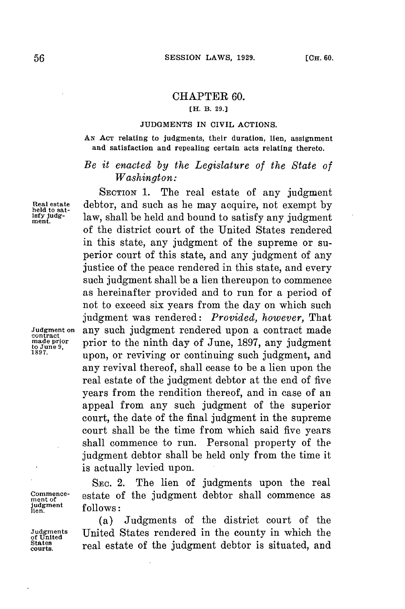## CHAPTER **60.**

## **[H. B. 29.3**

## **JUDGMENTS** IN CIVIL ACTIONS.

**AN ACT** relating to judgments, their duration, lien, assignment and satisfaction and repealing certain acts relating thereto.

## *Be it enacted by the Legislature of the State of Washington:*

SECTION 1. The real estate of any judgment Real estate debtor, and such as he may acquire, not exempt by led to sat-<br> **held to sat- held to satisfy** any judgment  $\lim_{m \to \infty}$ law, shall be held and bound to satisfy any judgment. of the district court of the United States rendered in this state, any judgment of the supreme or superior court of this state, and any judgment of any justice of the peace rendered in this state, and every such judgment shall be a lien thereupon to commence as hereinafter provided and to run for a period of not to exceed six years from the day on which such judgment was rendered: *Provided, however,* That Judgment on any such judgment rendered upon a contract made contract<br>
made prior<br>
to the ninth day of June, 1897, any judgment<br>
1897.<br>
1897. prior to the ninth day of June, 1897, any judgment upon, or reviving or continuing such judgment, and any revival thereof, shall cease to be a lien upon the real estate of the judgment debtor at the end of five years from the rendition thereof, and in case of an appeal from any such judgment of the superior court, the date of the final judgment in the supreme court shall be the time from which said five years shall commence to run. Personal property of the judgment debtor shall be held only from the time it is actually levied upon.

SEc. 2. The lien of judgments upon the real **mene-** estate of the judgment debtor shall commence as **lien. follows:**

(a) Judgments of the district court of the **Judgments** United States rendered in the county in which the real estate of the judgment debtor is situated, and

**judgment**<br>lien

of United<br>States<br>courts.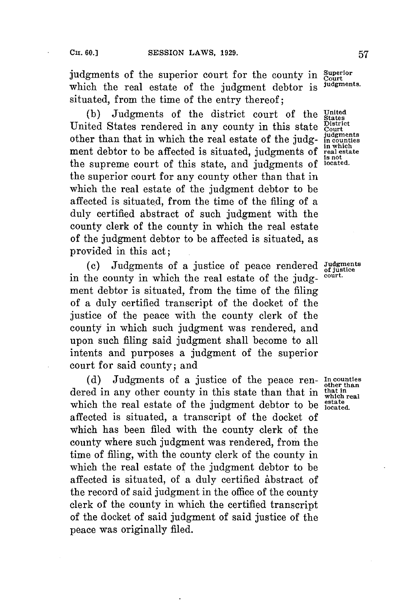judgments of the superior court for the county in *Superior* which the road optate of the indemnate deltar is judgments. which the real estate of the judgment debtor is situated, from the time of the entry thereof;

**(b)** Judgments of the district court of the **United** United States rendered in any county in this state *Court* other than that in which the real estate of the judg-<br>
the putch of the influence in counties other than that in which the real estate of the judg**in which** ment debtor to be affected is situated, judgments of **real estate** the supreme court of this state, and judgments of the superior court for any county other than that in which the real estate of the judgment debtor to be affected is situated, from the time of the filing of a duly certified abstract of such judgment with the county clerk of the county in which the real estate of the judgment debtor to be affected is situated, as provided in this act;

(c) Judgments of a justice of peace rendered Judgments in the county in which the real estate of the **judg- court.** ment debtor is situated, from the time of the filing of a duly certified transcript of the docket of the justice of the peace with the county clerk of the county in which such judgment was rendered, and upon such filing said judgment shall become to all intents and purposes a judgment of the superior court for said county; and

**(d)** Judgments of a justice of the peace ren- **In counties other than** dered in any other county in this state than that in **that in** that in which the real estate of the judgment debtor to be **stated**. affected is situated, a transcript of the docket of which has been filed with the county clerk of the county where such judgment was rendered, from the time of filing, with the county clerk of the county in which the real estate of the judgment debtor to be affected is situated, of a duly certified abstract of the record of said judgment in the office of the county clerk of the county in which the certified transcript of the docket of said judgment of said justice of the peace was originally filed.

**is not**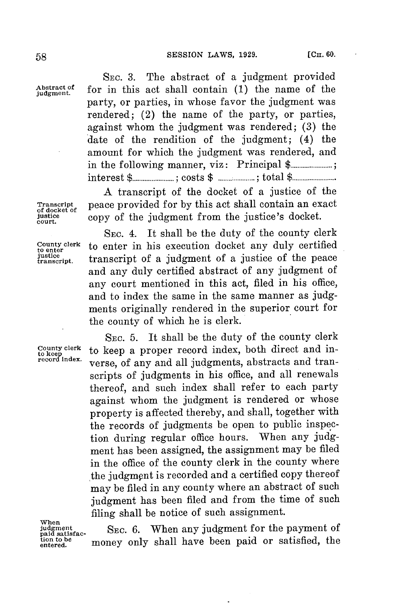**SEC. 3.** The abstract of a judgment provided  $A$ <sub>bstract of **for** in this act shall contain (1) the name of the</sub> party, or parties, in whose favor the judgment was rendered; (2) the name of the party, or parties, against whom the judgment was rendered; **(3)** the date of the rendition of the judgment; (4) the amount for which the judgment was rendered, and in the following manner, viz: Principal **\$........................;** interest **\$...... ;** costs **\$ ..... ;** total **\$..............**

**A** transcript of the docket of a justice of the **Transcript peace provided for by this act shall contain an exact of docket** of docket  $\alpha$  *cony* of the indemant from the instince's docket **justice** copy of the judgment from the justice's docket. **court.**

SEC. 4. It shall be the duty of the county clerk **County clerk** to enter in his execution docket any duly certified **to enter** transcript of a judgment of a justice of the peace and any duly certified abstract of any judgment of any court mentioned in this act, filed in his office, and to index the same in the same manner as **judg**ments originally rendered in the superior court for the county of which he is clerk.

SEc. **5.** It shall be the duty of the county clerk County clerk to keep a proper record index, both direct and in-<sup>to keep</sup> <sup>1</sup> to keep a proper record muex, both unset and inscripts of judgments in his office, and all renewals thereof, and such index shall refer to each party against whom the judgment is rendered or whose property is affected thereby, and shall, together with the records of judgments be open to public inspection during regular office hours. When any **judg**ment has been assigned, the assignment may be filed in the office of the county clerk in the county where the judgment is recorded and a certified copy thereof may be filed in any county where an abstract of such judgment has been filed and from the time of such filing shall be notice of such assignment.

When<br>judgment<br>paid satisfac**tion to be**

**judgment** SEc. 6. When any judgment **for** the payment of paid satisfac-<br>tion to be money only shall have been paid or satisfied, the

**justice**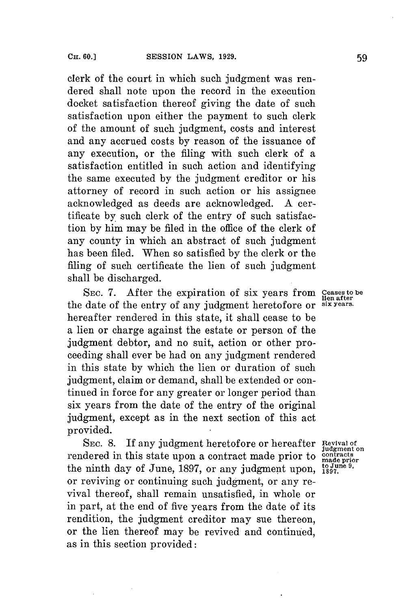clerk of the court in which such judgment was rendered shall note upon the record in the execution docket satisfaction thereof giving the date of such satisfaction upon either the payment to such clerk of the amount of such judgment, costs and interest and any accrued costs **by** reason of the issuance of any execution, or the filing with such clerk of a satisfaction entitled in such action and identifying the same executed **by** the judgment creditor or his attorney of record in such action or his assignee acknowledged as deeds are acknowledged. **A** certificate **by** such clerk of the entry of such satisfaction **by** him may be filed in the office of the clerk of any county in which an abstract of such judgment has been filed. When so satisfied **by** the clerk or the filing of such certificate the lien of such judgment shall be discharged.

**SEC. 7.** After the expiration of six years from **ceases to be lien after** the date of the entry of any judgment heretofore or **six years.** hereafter rendered in this state, it shall cease to be a lien or charge against the estate or person of the judgment debtor, and no suit, action or other proceeding shall ever be had on any judgment rendered in this state **by** which the lien or duration of such judgment, claim or demand, shall be extended or continued in force **for** any greater or longer period than six years from the date of the entry of the original judgment, except as in the next section of this act provided.

**SEC. 8.** If any judgment heretofore or hereafter **Revival of** rendered in this state upon a contract made prior to **contracts** the ninth day of June, 1897, or any judgment upon,  $_{1897}^{to Junie 9}$ , or reviving or continuing such judgment, or any revival thereof, shall remain unsatisfied, in whole or in part, at the end of five years from the date of its rendition, the judgment creditor may sue thereon, or the lien thereof may be revived and continued, as in this section provided:

**judgment on**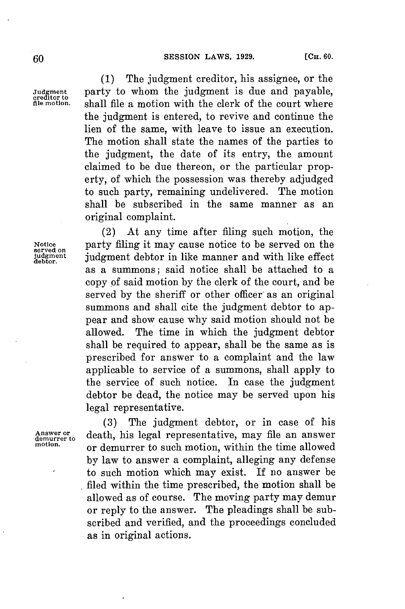**(1)** The judgment creditor, his assignee, or the Judgment **party to whom the judgment is due and payable,** creditor to **Shall file a motion with the clerk of the court where** the judgment is entered, to revive and continue the lien of the same, with leave to issue an execution. The motion shall state the names of the parties to the judgment, the date of its entry, the amount claimed to be due thereon, or the particular property, of which the possession was thereby adjudged to such party, remaining undelivered. The motion shall be subscribed in the same manner as an original complaint.

(2) At any time after filing such motion, the Notice **party filing it may cause notice to be served on the** served on the served on the served on the served on the served on the served on the served on the served on the served on the served on the served on the served **judgment** judgment debtor in like manner and with like effect **debtor.** as a summons; said notice shall be attached to a copy of said motion **by** the clerk of the court, and be served **by** the sheriff or other officer as an original summons and shall cite the judgment debtor to appear and show cause why said motion should not be allowed. The time in which the judgment debtor shall be required to appear, shall be the same as is prescribed for answer to a complaint and the law applicable to service of a summons, shall apply to the service of such notice. In case the judgment debtor be dead, the notice may be served upon his legal representative.

**(3)** The judgment debtor, or in case of his Answer or **death**, his legal representative, may file an answer<br>motion. or demurrer to such motion, within the time allowed **by** law to answer a complaint, alleging any defense to such motion which may exist. If no answer be filed within the time prescribed, the motion shall be allowed as of course. The moving party may demur or reply to the answer. The pleadings shall be subscribed and verified, and the proceedings concluded as in original actions.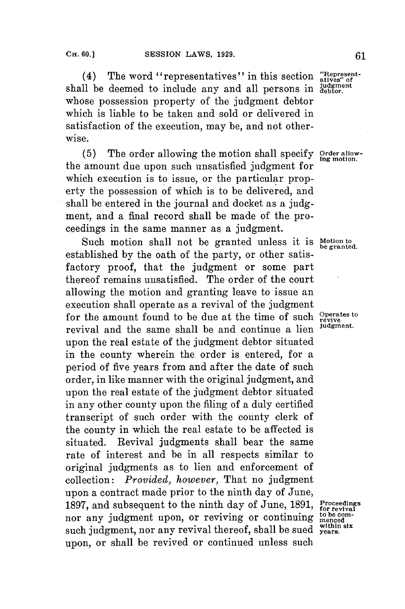(4) The word "representatives" in this section "Representshall be deemed to include any and all persons in judgment whose possession property of the judgment debtor which is liable to be taken and sold or delivered in satisfaction of the execution, may be, and not otherwise.

**(5)** The order allowing the motion shall specify **Order allow-ing motion.** the amount due upon such unsatisfied judgment for which execution is to issue, or the particular property the possession of which is to be delivered, and shall be entered in the journal and docket as a **judg**ment, and a final record shall be made of the proceedings in the same manner as a judgment.

Such motion shall not be granted unless it is Motion to be granted. established **by** the oath of the party, or other satisfactory proof, that the judgment or some part thereof remains unsatisfied. The order of the court allowing the motion and granting leave to issue an execution shall operate as a revival of the judgment for the amount found to be due at the time of such <sup>Operates to</sup> revival and the same shall be and continue a lien **judgment.** upon the real estate of the judgment debtor situated in the county wherein the order is entered, **for** a period of five years from and after the date of such order, in like manner with the original judgment, and upon the real estate of the judgment debtor situated in any other county upon the filing of a duly certified transcript of such order with the county clerk of the county in which the real estate to be affected is situated. Revival judgments shall bear the same rate of interest and be in all respects similar to original judgments as to lien and enforcement of collection: *Provided, however,* That no judgment upon a contract made prior to the ninth day of June, **1897,** and subsequent to the ninth day of June, **1891, Proceedings for revival** nor any judgment upon, or reviving or continuing  $\frac{\text{to be of}}{\text{mence}}$ such judgment, nor any revival thereof, shall be sued within six upon, or shall be revived or continued unless such